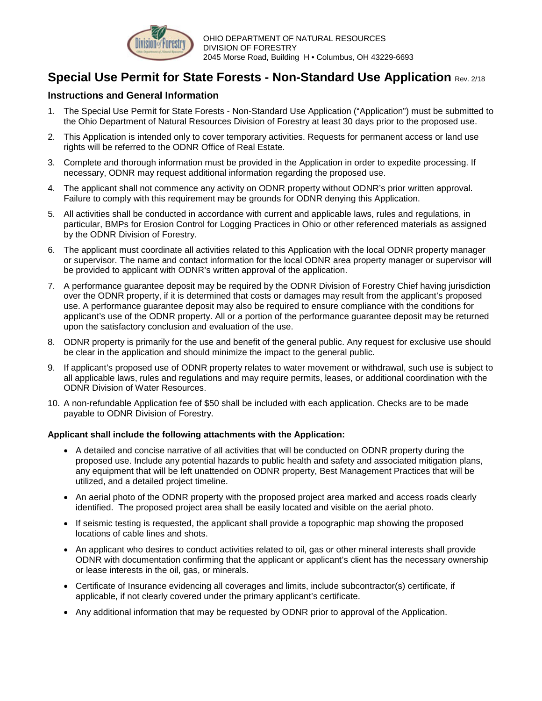

## **Special Use Permit for State Forests - Non-Standard Use Application** Rev. 2/18

#### **Instructions and General Information**

- 1. The Special Use Permit for State Forests Non-Standard Use Application ("Application") must be submitted to the Ohio Department of Natural Resources Division of Forestry at least 30 days prior to the proposed use.
- 2. This Application is intended only to cover temporary activities. Requests for permanent access or land use rights will be referred to the ODNR Office of Real Estate.
- 3. Complete and thorough information must be provided in the Application in order to expedite processing. If necessary, ODNR may request additional information regarding the proposed use.
- 4. The applicant shall not commence any activity on ODNR property without ODNR's prior written approval. Failure to comply with this requirement may be grounds for ODNR denying this Application.
- 5. All activities shall be conducted in accordance with current and applicable laws, rules and regulations, in particular, BMPs for Erosion Control for Logging Practices in Ohio or other referenced materials as assigned by the ODNR Division of Forestry.
- 6. The applicant must coordinate all activities related to this Application with the local ODNR property manager or supervisor. The name and contact information for the local ODNR area property manager or supervisor will be provided to applicant with ODNR's written approval of the application.
- 7. A performance guarantee deposit may be required by the ODNR Division of Forestry Chief having jurisdiction over the ODNR property, if it is determined that costs or damages may result from the applicant's proposed use. A performance guarantee deposit may also be required to ensure compliance with the conditions for applicant's use of the ODNR property. All or a portion of the performance guarantee deposit may be returned upon the satisfactory conclusion and evaluation of the use.
- 8. ODNR property is primarily for the use and benefit of the general public. Any request for exclusive use should be clear in the application and should minimize the impact to the general public.
- 9. If applicant's proposed use of ODNR property relates to water movement or withdrawal, such use is subject to all applicable laws, rules and regulations and may require permits, leases, or additional coordination with the ODNR Division of Water Resources.
- 10. A non-refundable Application fee of \$50 shall be included with each application. Checks are to be made payable to ODNR Division of Forestry.

#### **Applicant shall include the following attachments with the Application:**

- A detailed and concise narrative of all activities that will be conducted on ODNR property during the proposed use. Include any potential hazards to public health and safety and associated mitigation plans, any equipment that will be left unattended on ODNR property, Best Management Practices that will be utilized, and a detailed project timeline.
- An aerial photo of the ODNR property with the proposed project area marked and access roads clearly identified. The proposed project area shall be easily located and visible on the aerial photo.
- If seismic testing is requested, the applicant shall provide a topographic map showing the proposed locations of cable lines and shots.
- An applicant who desires to conduct activities related to oil, gas or other mineral interests shall provide ODNR with documentation confirming that the applicant or applicant's client has the necessary ownership or lease interests in the oil, gas, or minerals.
- Certificate of Insurance evidencing all coverages and limits, include subcontractor(s) certificate, if applicable, if not clearly covered under the primary applicant's certificate.
- Any additional information that may be requested by ODNR prior to approval of the Application.